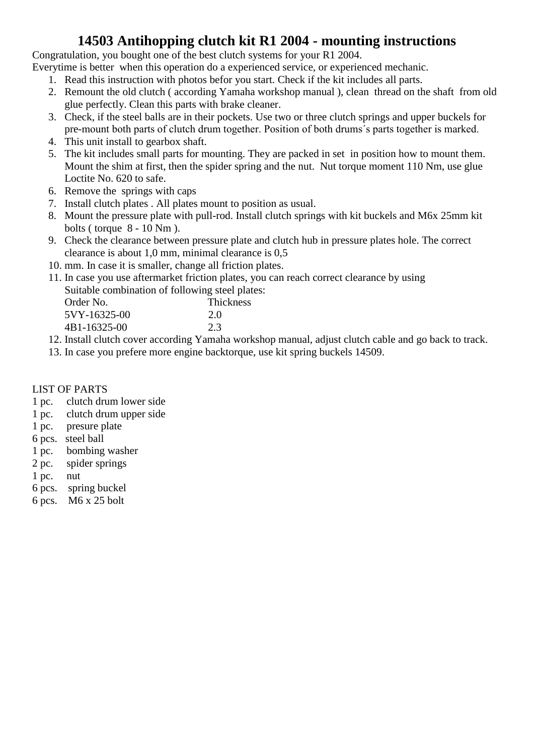#### **14503 Antihopping clutch kit R1 2004 - mounting instructions**

Congratulation, you bought one of the best clutch systems for your R1 2004.

Everytime is better when this operation do a experienced service, or experienced mechanic.

- 1. Read this instruction with photos befor you start. Check if the kit includes all parts.
- 2. Remount the old clutch ( according Yamaha workshop manual ), clean thread on the shaft from old glue perfectly. Clean this parts with brake cleaner.
- 3. Check, if the steel balls are in their pockets. Use two or three clutch springs and upper buckels for pre-mount both parts of clutch drum together. Position of both drums´s parts together is marked.
- 4. This unit install to gearbox shaft.
- 5. The kit includes small parts for mounting. They are packed in set in position how to mount them. Mount the shim at first, then the spider spring and the nut. Nut torque moment 110 Nm, use glue Loctite No. 620 to safe.
- 6. Remove the springs with caps
- 7. Install clutch plates . All plates mount to position as usual.
- 8. Mount the pressure plate with pull-rod. Install clutch springs with kit buckels and M6x 25mm kit bolts ( torque 8 - 10 Nm ).
- 9. Check the clearance between pressure plate and clutch hub in pressure plates hole. The correct clearance is about 1,0 mm, minimal clearance is 0,5
- 10. mm. In case it is smaller, change all friction plates.
- 11. In case you use aftermarket friction plates, you can reach correct clearance by using Suitable combination of following steel plates:

| Order No.    | Thickness |
|--------------|-----------|
| 5VY-16325-00 | 2.0       |
| 4B1-16325-00 | 2.3       |
|              |           |

- 12. Install clutch cover according Yamaha workshop manual, adjust clutch cable and go back to track.
- 13. In case you prefere more engine backtorque, use kit spring buckels 14509.

#### LIST OF PARTS

- 1 pc. clutch drum lower side
- 1 pc. clutch drum upper side
- 1 pc. presure plate
- 6 pcs. steel ball
- 1 pc. bombing washer
- 2 pc. spider springs
- 1 pc. nut
- 6 pcs. spring buckel
- 6 pcs. M6 x 25 bolt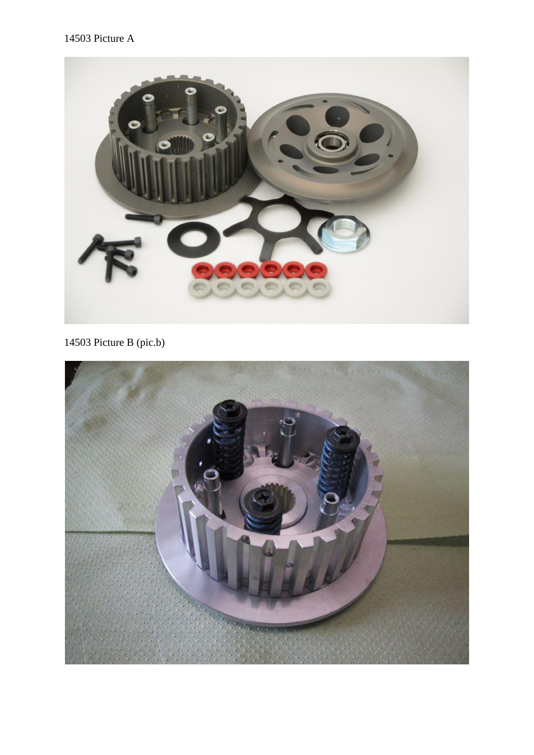

14503 Picture B (pic.b)

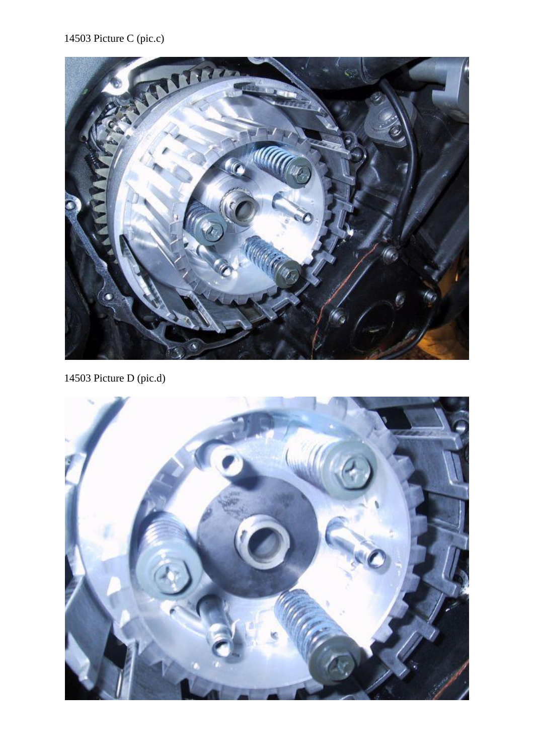## 14503 Picture C (pic.c)



14503 Picture D (pic.d)

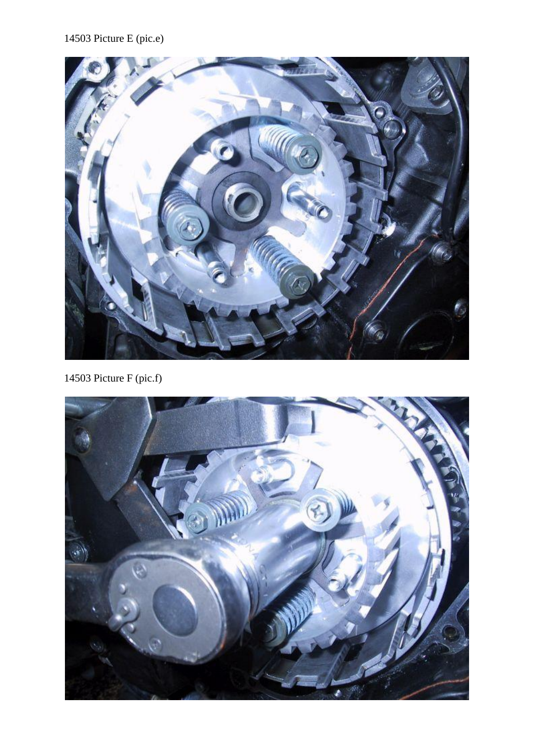## 14503 Picture E (pic.e)



14503 Picture F (pic.f)

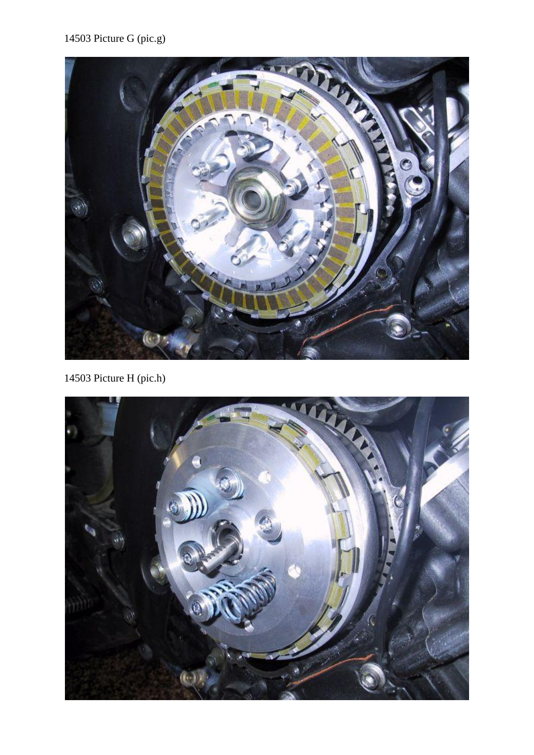# 14503 Picture G (pic.g)



14503 Picture H (pic.h)